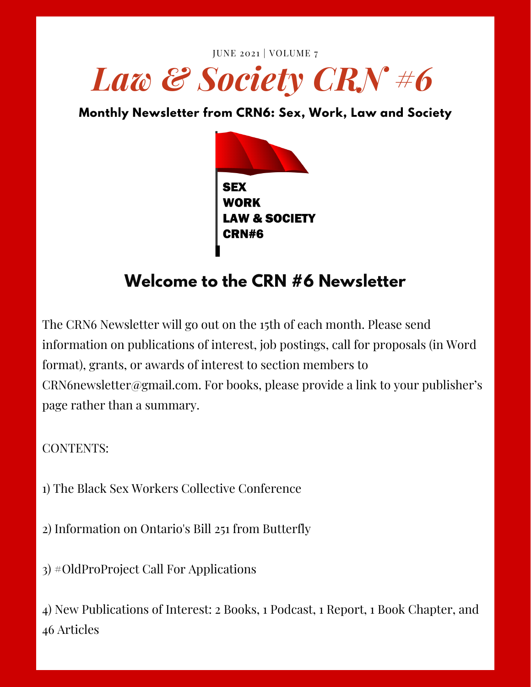



# **Welcome to the CRN #6 Newsletter**

The CRN6 Newsletter will go out on the 15th of each month. Please send information on publications of interest, job postings, call for proposals (in Word format), grants, or awards of interest to section members to  $CRN6$ newsletter@gmail.com. For books, please provide a link to your publisher's page rather than a summary.

CONTENTS:

1) The Black Sex Workers Collective Conference

2) Information on Ontario's Bill 251 from Butterfly

3) #OldProProject Call For Applications

4) New Publications of Interest: 2 Books, 1 Podcast, 1 Report, 1 Book Chapter, and 46 Articles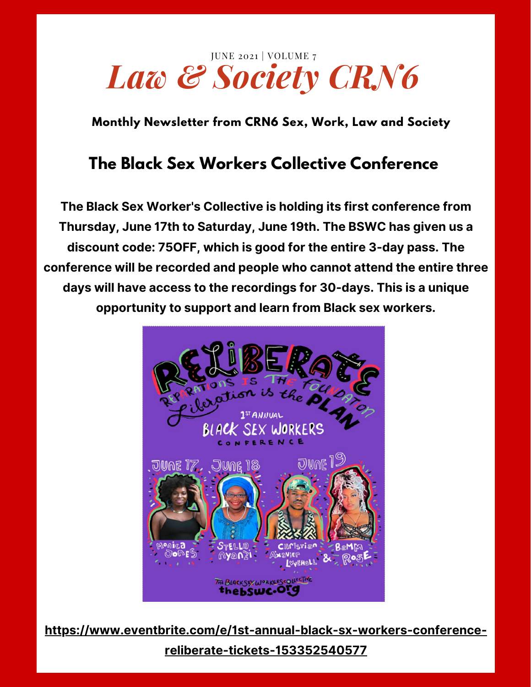# *Law & Society CRN6* JUNE 2021 | VOLUME 7

**Monthly Newsletter from CRN6 Sex, Work, Law and Society**

## **The Black Sex Workers Collective Conference**

**The Black Sex Worker's Collective is holding its first conference from Thursday, June 17th to Saturday, June 19th. The BSWC has given us a discount code: 75OFF, which is good for the entire 3-day pass. The conference will be recorded and people who cannot attend the entire three days will have access to the recordings for 30-days. This is a unique opportunity to support and learn from Black sex workers.**



**[https://www.eventbrite.com/e/1st-annual-black-sx-workers-conference](https://www.eventbrite.com/e/1st-annual-black-sx-workers-conference-reliberate-tickets-153352540577)reliberate-tickets-153352540577**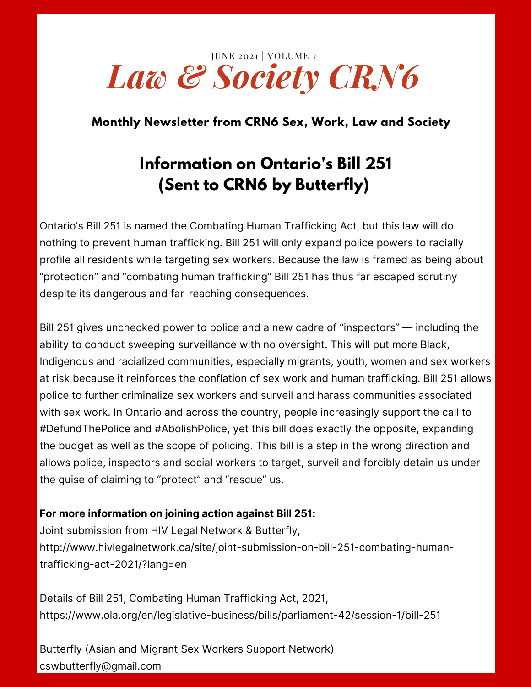# *Law & Society CRN6* JUNE 2021 | VOLUME 7

#### **Monthly Newsletter from CRN6 Sex, Work, Law and Society**

# **Information on Ontario's Bill 251 (Sent to CRN6 by Butterfly)**

Ontario's Bill 251 is named the Combating Human Trafficking Act, but this law will do nothing to prevent human trafficking. Bill 251 will only expand police powers to racially profile all residents while targeting sex workers. Because the law is framed as being about "protection" and "combating human trafficking" Bill 251 has thus far escaped scrutiny despite its dangerous and far-reaching consequences.

Bill 251 gives unchecked power to police and a new cadre of "inspectors" — including the ability to conduct sweeping surveillance with no oversight. This will put more Black, Indigenous and racialized communities, especially migrants, youth, women and sex workers at risk because it reinforces the conflation of sex work and human trafficking. Bill 251 allows police to further criminalize sex workers and surveil and harass communities associated with sex work. In Ontario and across the country, people increasingly support the call to #DefundThePolice and #AbolishPolice, yet this bill does exactly the opposite, expanding the budget as well as the scope of policing. This bill is a step in the wrong direction and allows police, inspectors and social workers to target, surveil and forcibly detain us under the guise of claiming to "protect" and "rescue" us.

#### **For more information on joining action against Bill 251:**

Joint submission from HIV Legal Network & Butterfly, [http://www.hivlegalnetwork.ca/site/joint-submission-on-bill-251-combating-human](http://www.hivlegalnetwork.ca/site/joint-submission-on-bill-251-combating-human-trafficking-act-2021/?lang=en)trafficking-act-2021/?lang=en

Details of Bill 251, Combating Human Trafficking Act, 2021, <https://www.ola.org/en/legislative-business/bills/parliament-42/session-1/bill-251>

Butterfly (Asian and Migrant Sex Workers Support Network) cswbutterfly@gmail.com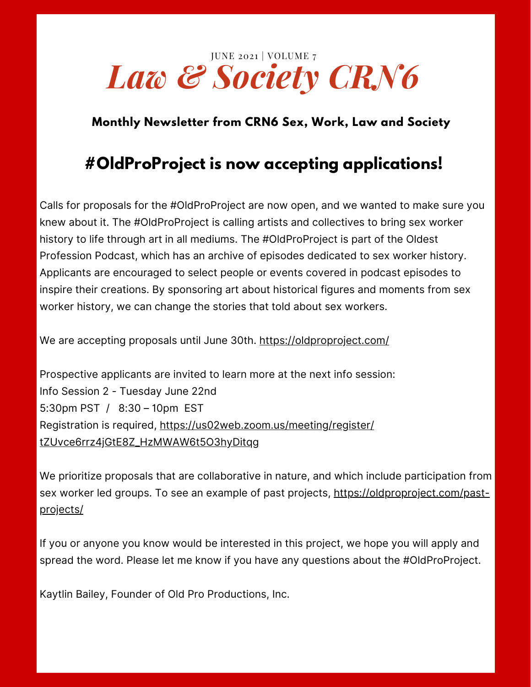# *Law & Society CRN6* JUNE 2021 | VOLUME 7

#### **Monthly Newsletter from CRN6 Sex, Work, Law and Society**

# **#OldProProject is now accepting applications!**

Calls for proposals for the #OldProProject are now open, and we wanted to make sure you knew about it. The #OldProProject is calling artists and collectives to bring sex worker history to life through art in all mediums. The #OldProProject is part of the Oldest Profession Podcast, which has an archive of episodes dedicated to sex worker history. Applicants are encouraged to select people or events covered in podcast episodes to inspire their creations. By sponsoring art about historical figures and moments from sex worker history, we can change the stories that told about sex workers.

We are accepting proposals until June 30th. <https://oldproproject.com/>

Prospective applicants are invited to learn more at the next info session: Info Session 2 - Tuesday June 22nd 5:30pm PST / 8:30 – 10pm EST Registration is required, [https://us02web.zoom.us/meeting/register/](https://us02web.zoom.us/meeting/register/%20tZUvce6rrz4jGtE8Z_HzMWAW6t5O3hyDitqg) [tZUvce6rrz4jGtE8Z\\_HzMWAW6t5O3hyDitqg](https://us02web.zoom.us/meeting/register/%20tZUvce6rrz4jGtE8Z_HzMWAW6t5O3hyDitqg)

We prioritize proposals that are collaborative in nature, and which include participation from sex worker led groups. To see an example of past projects, [https://oldproproject.com/past](https://oldproproject.com/past-projects/)projects/

If you or anyone you know would be interested in this project, we hope you will apply and spread the word. Please let me know if you have any questions about the #OldProProject.

Kaytlin Bailey, Founder of Old Pro Productions, Inc.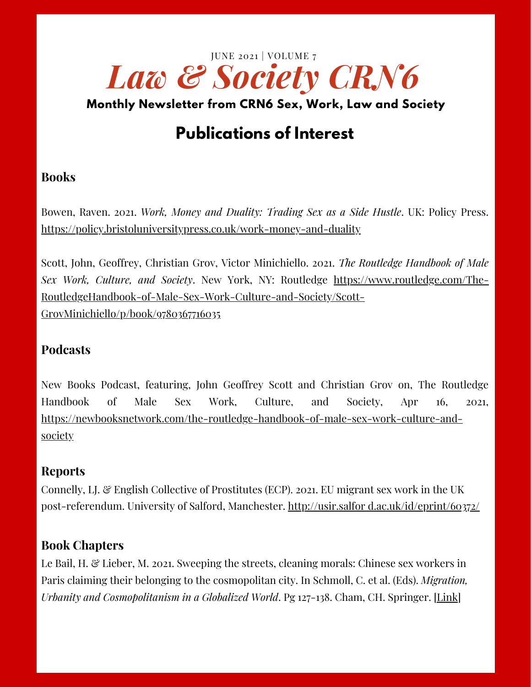

# **Publications of Interest**

#### **Books**

Bowen, Raven. 2021. *Work, Money and Duality: Trading Sex as a Side Hustle*. UK: Policy Press. <https://policy.bristoluniversitypress.co.uk/work-money-and-duality>

Scott, John, Geoffrey, Christian Grov, Victor Minichiello. 2021. *The Routledge Handbook of Male Sex Work, Culture, and Society*. New York, NY: Routledge https://www.routledge.com/The-[RoutledgeHandbook-of-Male-Sex-Work-Culture-and-Society/Scott-](https://www.routledge.com/The-RoutledgeHandbook-of-Male-Sex-Work-Culture-and-Society/Scott-GrovMinichiello/p/book/9780367716035)GrovMinichiello/p/book/9780367716035

#### **Podcasts**

New Books Podcast, featuring, John Geoffrey Scott and Christian Grov on, The Routledge Handbook of Male Sex Work, Culture, and Society, Apr 16, 2021, [https://newbooksnetwork.com/the-routledge-handbook-of-male-sex-work-culture-and](https://newbooksnetwork.com/the-routledge-handbook-of-male-sex-work-culture-and-society)society

#### **Reports**

Connelly, LJ. & English Collective of Prostitutes (ECP). 2021. EU migrant sex work in the UK post-referendum. University of Salford, Manchester. http://usir.salfor [d.ac.uk/id/eprint/60372/](http://usir.salford.ac.uk/id/eprint/60372/1/Full%20Report%20-%20EU%20migrant%20sex%20work%20in%20the%20UK%20post-Referendum.pdf)

#### **Book Chapters**

Le Bail, H. & Lieber, M. 2021. Sweeping the streets, cleaning morals: Chinese sex workers in Paris claiming their belonging to the cosmopolitan city. In Schmoll, C. et al. (Eds). *Migration, Urbanity and Cosmopolitanism in a Globalized World*. Pg 127-138. Cham, CH. Springer. [[Link](https://www.google.com/books/edition/Migration_Urbanity_and_Cosmopolitanism_i/i5AtEAAAQBAJ?hl=en&gbpv=0)]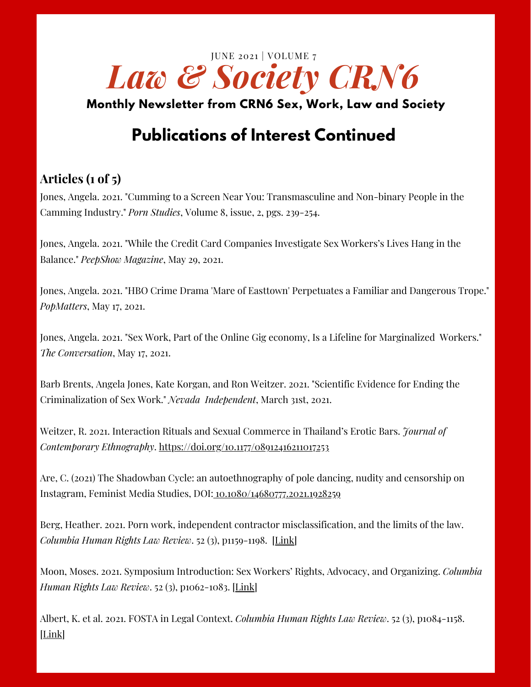

# **Publications of Interest Continued**

### **Articles (1 of 5)**

Jones, Angela. 2021. "Cumming to a Screen Near You: Transmasculine and Non-binary People in the Camming Industry." *Porn Studies*, Volume 8, issue, 2, pgs. 239-254.

Jones, Angela. 2021. "While the Credit Card Companies Investigate Sex Workers's Lives Hang in the Balance." *PeepShow Magazine*, May 29, 2021.

Jones, Angela. 2021. "HBO Crime Drama 'Mare of Easttown' Perpetuates a Familiar and Dangerous Trope." *PopMatters*, May 17, 2021.

Jones, Angela. 2021. "Sex Work, Part of the Online Gig economy, Is a Lifeline for Marginalized Workers." *The Conversation*, May 17, 2021.

Barb Brents, Angela Jones, Kate Korgan, and Ron Weitzer. 2021. "Scientific Evidence for Ending the Criminalization of Sex Work." *Nevada Independent*, March 31st, 2021.

Weitzer, R. 2021. Interaction Rituals and Sexual Commerce in Thailand's Erotic Bars. *Journal of Contemporary Ethnography*. <https://doi.org/10.1177/08912416211017253>

Are, C. (2021) The Shadowban Cycle: an autoethnography of pole dancing, nudity and censorship on Instagram, Feminist Media Studies, DOI: [10.1080/14680777.2021.1928259](https://www.tandfonline.com/doi/full/10.1080/14680777.2021.1928259)

Berg, Heather. 2021. Porn work, independent contractor misclassification, and the limits of the law. *Columbia Human Rights Law Review*. 52 (3), p1159-1198. [\[Link\]](http://hrlr.law.columbia.edu/hrlr/porn-work-independent-contractor-misclassification-and-the-limits-of-the-law/)

Moon, Moses. 2021. Symposium Introduction: Sex Workers' Rights, Advocacy, and Organizing. *Columbia Human Rights Law Review*. 52 (3), p1062-1083. [\[Link\]](http://hrlr.law.columbia.edu/hrlr/introduction-sex-workers-rights-advocacy-and-organizing/)

Albert, K. et al. 2021. FOSTA in Legal Context. *Columbia Human Rights Law Review*. 52 (3), p1084-1158. [\[Link\]](http://hrlr.law.columbia.edu/hrlr/fosta-in-legal-context/)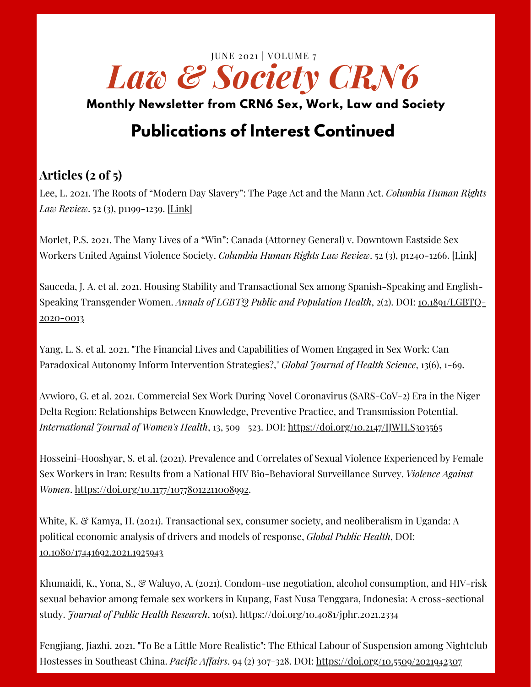

# **Publications of Interest Continued**

### **Articles (2 of 5)**

Lee, L. 2021. The Roots of "Modern Day Slavery": The Page Act and the Mann Act. *Columbia Human Rights Law Review*. 52 (3), p1199-1239. [\[Link\]](http://hrlr.law.columbia.edu/hrlr/the-roots-of-modern-day-slavery-the-page-act-and-the-mann-act/)

Morlet, P.S. 2021. The Many Lives of a "Win": Canada (Attorney General) v. Downtown Eastside Sex Workers United Against Violence Society. *Columbia Human Rights Law Review*. 52 (3), p1240-1266. [[Link\]](http://hrlr.law.columbia.edu/hrlr/the-many-lives-of-a-win-canada-attorney-general-v-downtown-eastside-sex-workers-united-against-violence-society/)

Sauceda, J. A. et al. 2021. Housing Stability and Transactional Sex among Spanish-Speaking and English-Speaking Transgender Women. *Annals of LGBTQ Public and Population Health*, 2(2). DOI: [10.1891/LGBTQ-](https://connect.springerpub.com/content/sgrlgbtq/2/2/135.abstract)2020-0013

Yang, L. S. et al. 2021. "The Financial Lives and Capabilities of Women Engaged in Sex Work: Can Paradoxical Autonomy Inform [Intervention](https://ideas.repec.org/a/ibn/gjhsjl/v13y2021i6p69.html) Strategies?," *Global [Journal](https://ideas.repec.org/s/ibn/gjhsjl.html) of Health Science*, 13(6), 1-69.

Avwioro, G. et al. 2021. Commercial Sex Work During Novel Coronavirus (SARS-CoV-2) Era in the Niger Delta Region: Relationships Between Knowledge, Preventive Practice, and Transmission Potential. *International Journal of Women's Health*, 13, 509—523. [DOI:](https://www.dovepress.com/commercial-sex-work-during-novel-coronavirus-sars-cov-2-era-in-the-nig-peer-reviewed-fulltext-article-IJWH) [https://doi.org/10.2147/IJWH.S303565](https://www.dovepress.com/commercial-sex-work-during-novel-coronavirus-sars-cov-2-era-in-the-nig-peer-reviewed-fulltext-article-IJWH)

Hosseini-Hooshyar, S. et al. (2021). Prevalence and Correlates of Sexual Violence Experienced by Female Sex Workers in Iran: Results from a National HIV Bio-Behavioral Surveillance Survey. *Violence Against Women*. [https://doi.org/10.1177/10778012211008992.](https://journals.sagepub.com/doi/10.1177/10778012211008992)

White, K. & Kamya, H. (2021). Transactional sex, consumer society, and neoliberalism in Uganda: A political economic analysis of drivers and models of response, *Global Public Health*, DOI: [10.1080/17441692.2021.1925943](https://doi.org/10.1080/17441692.2021.1925943)

Khumaidi, K., Yona, S., & Waluyo, A. (2021). Condom-use negotiation, alcohol consumption, and HIV-risk sexual behavior among female sex workers in Kupang, East Nusa Tenggara, Indonesia: A cross-sectional study. *Journal of Public Health Research*, 10(s1). [https://doi.org/10.4081/jphr.2021.2334](https://jphres.org/index.php/jphres/article/view/2334)

Fengjiang, Jiazhi. 2021. "To Be a Little More Realistic": The Ethical Labour of Suspension among Nightclub Hostesses in Southeast China. *Pacific Affairs*. 94 (2) 307-328. DOI: <https://doi.org/10.5509/2021942307>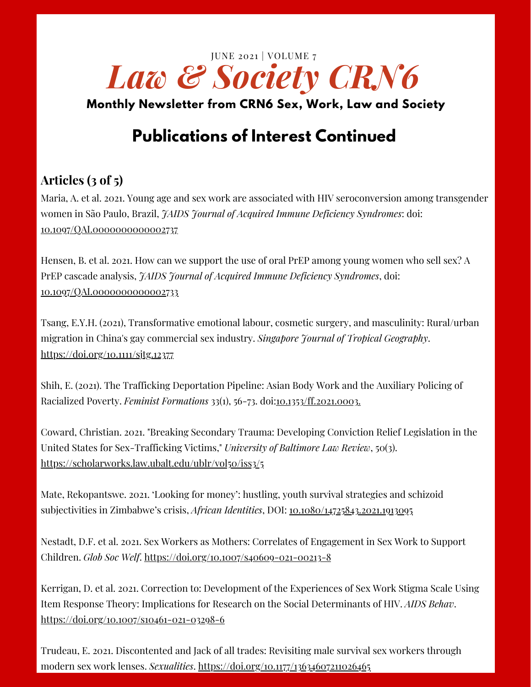

# **Publications of Interest Continued**

### **Articles (3 of 5)**

Maria, A. et al. 2021. Young age and sex work are associated with HIV seroconversion among transgender women in São Paulo, Brazil, *JAIDS Journal of Acquired Immune Deficiency Syndromes*: doi: [10.1097/QAI.0000000000002737](https://journals.lww.com/jaids/Abstract/9000/Young_age_and_sex_work_are_associated_with_HIV.95872.aspx)

Hensen, B. et al. 2021. How can we support the use of oral PrEP among young women who sell sex? A PrEP cascade analysis, *JAIDS Journal of Acquired Immune Deficiency Syndromes*, doi: [10.1097/QAI.0000000000002733](https://journals.lww.com/jaids/Abstract/9000/How_can_we_support_the_use_of_oral_PrEP_among.95869.aspx)

Tsang, E.Y.H. (2021), Transformative emotional labour, cosmetic surgery, and masculinity: Rural/urban migration in China's gay commercial sex industry. *Singapore Journal of Tropical Geography*. <https://doi.org/10.1111/sjtg.12377>

Shih, E. (2021). The Trafficking Deportation Pipeline: Asian Body Work and the Auxiliary Policing of Racialized Poverty. *Feminist Formations* 33(1), 56-73. doi:[10.1353/ff.2021.0003.](https://muse.jhu.edu/article/793671/summary)

Coward, Christian. 2021. "Breaking Secondary Trauma: Developing Conviction Relief Legislation in the United States for Sex-Trafficking Victims," *University of Baltimore Law Review*, 50(3). <https://scholarworks.law.ubalt.edu/ublr/vol50/iss3/5>

Mate, Rekopantswe. 2021. 'Looking for money': hustling, youth survival strategies and schizoid subjectivities in Zimbabwe's crisis, *African Identities*, DOI: [10.1080/14725843.2021.1913095](https://www.tandfonline.com/doi/abs/10.1080/14725843.2021.1913095?journalCode=cafi20)

Nestadt, D.F. et al. 2021. Sex Workers as Mothers: Correlates of Engagement in Sex Work to Support Children. *Glob Soc Welf*. <https://doi.org/10.1007/s40609-021-00213-8>

Kerrigan, D. et al. 2021. Correction to: Development of the Experiences of Sex Work Stigma Scale Using Item Response Theory: Implications for Research on the Social Determinants of HIV. *AIDS Behav*. <https://doi.org/10.1007/s10461-021-03298-6>

Trudeau, E. 2021. Discontented and Jack of all trades: Revisiting male survival sex workers through modern sex work lenses. *Sexualities*. <https://doi.org/10.1177/13634607211026465>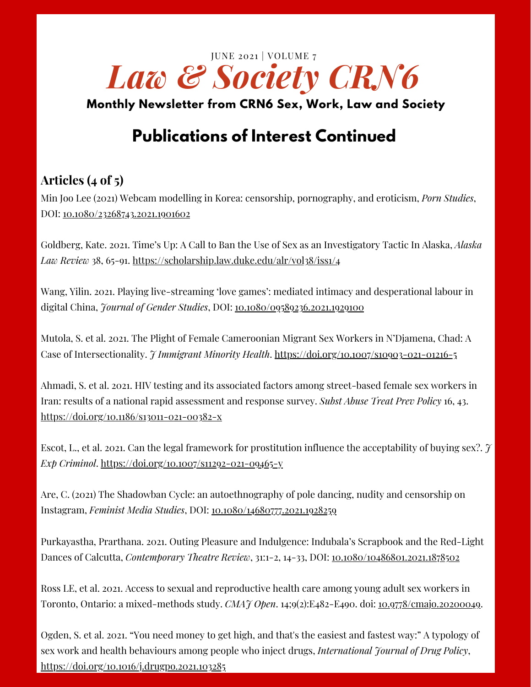

# **Publications of Interest Continued**

### **Articles (4 of 5)**

Min Joo Lee (2021) Webcam modelling in Korea: censorship, pornography, and eroticism, *Porn Studies*, DOI: [10.1080/23268743.2021.1901602](https://www.tandfonline.com/doi/abs/10.1080/23268743.2021.1901602)

Goldberg, Kate. 2021. Time's Up: A Call to Ban the Use of Sex as an Investigatory Tactic In Alaska, *Alaska Law Review* 38, 65-91. <https://scholarship.law.duke.edu/alr/vol38/iss1/4>

Wang, Yilin. 2021. Playing live-streaming 'love games': mediated intimacy and desperational labour in digital China, *Journal of Gender Studies*, DOI: [10.1080/09589236.2021.1929100](https://www.tandfonline.com/doi/abs/10.1080/09589236.2021.1929100)

Mutola, S. et al. 2021. The Plight of Female Cameroonian Migrant Sex Workers in N'Djamena, Chad: A Case of Intersectionality. *J Immigrant Minority Health*. <https://doi.org/10.1007/s10903-021-01216-5>

Ahmadi, S. et al. 2021. HIV testing and its associated factors among street-based female sex workers in Iran: results of a national rapid assessment and response survey. *Subst Abuse Treat Prev Policy* 16, 43. <https://doi.org/10.1186/s13011-021-00382-x>

Escot, L., et al. 2021. Can the legal framework for prostitution influence the acceptability of buying sex?. *J Exp Criminol*. <https://doi.org/10.1007/s11292-021-09465-y>

Are, C. (2021) The Shadowban Cycle: an autoethnography of pole dancing, nudity and censorship on Instagram, *Feminist Media Studies*, DOI: [10.1080/14680777.2021.1928259](https://www.tandfonline.com/doi/full/10.1080/14680777.2021.1928259)

Purkayastha, Prarthana. 2021. Outing Pleasure and Indulgence: Indubala's Scrapbook and the Red-Light Dances of Calcutta, *Contemporary Theatre Review*, 31:1-2, 14-33, DOI: [10.1080/10486801.2021.1878502](https://www.tandfonline.com/doi/abs/10.1080/10486801.2021.1878502?journalCode=gctr20)

Ross LE, et al. 2021. Access to sexual and reproductive health care among young adult sex workers in Toronto, Ontario: a mixed-methods study. *CMAJ Open*. 14;9(2):E482-E490. doi: [10.9778/cmajo.20200049](https://pubmed.ncbi.nlm.nih.gov/33990362/).

Ogden, S. et al. 2021. "You need money to get high, and that's the easiest and fastest way:" A typology of sex work and health behaviours among people who inject drugs, *International Journal of Drug Policy*, <https://doi.org/10.1016/j.drugpo.2021.103285>